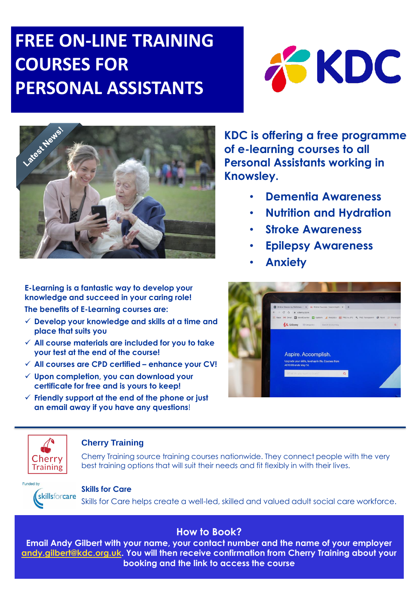# **FREE ON-LINE TRAINING COURSES FOR PERSONAL ASSISTANTS**





**E-Learning is a fantastic way to develop your knowledge and succeed in your caring role!**

**The benefits of E-Learning courses are:**

- **Develop your knowledge and skills at a time and place that suits you**
- **All course materials are included for you to take your test at the end of the course!**
- **All courses are CPD certified – enhance your CV!**
- **Upon completion, you can download your certificate for free and is yours to keep!**
- **Friendly support at the end of the phone or just an email away if you have any questions**!

**KDC is offering a free programme of e-learning courses to all Personal Assistants working in Knowsley.** 

- **Dementia Awareness**
- **Nutrition and Hydration**
- **Stroke Awareness**
- **Epilepsy Awareness**
- **Anxiety**





### **Cherry Training**

Cherry Training source training courses nationwide. They connect people with the very best training options that will suit their needs and fit flexibly in with their lives.



#### **Skills for Care**

skillsforcare Skills for Care helps create a well-led, skilled and valued adult social care workforce.

## **How to Book?**

**Email Andy Gilbert with your name, your contact number and the name of your employer [andy.gilbert@kdc.org.uk](mailto:andy.gilbert@kdc.org.uk). You will then receive confirmation from Cherry Training about your booking and the link to access the course**